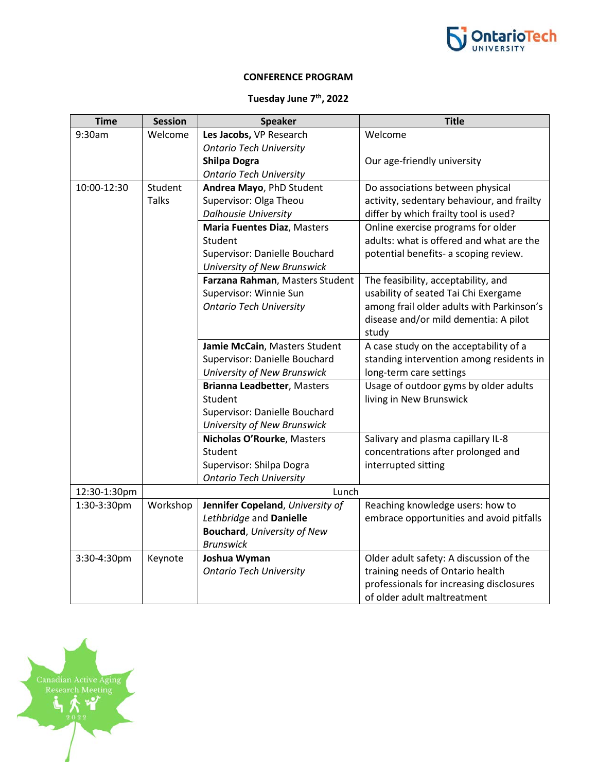

## **CONFERENCE PROGRAM**

## **Tuesday June 7th, 2022**

| <b>Time</b>  | <b>Session</b> | <b>Speaker</b>                      | <b>Title</b>                               |  |
|--------------|----------------|-------------------------------------|--------------------------------------------|--|
| 9:30am       | Welcome        | Les Jacobs, VP Research             | Welcome                                    |  |
|              |                | <b>Ontario Tech University</b>      |                                            |  |
|              |                | <b>Shilpa Dogra</b>                 | Our age-friendly university                |  |
|              |                | <b>Ontario Tech University</b>      |                                            |  |
| 10:00-12:30  | Student        | Andrea Mayo, PhD Student            | Do associations between physical           |  |
|              | <b>Talks</b>   | Supervisor: Olga Theou              | activity, sedentary behaviour, and frailty |  |
|              |                | <b>Dalhousie University</b>         | differ by which frailty tool is used?      |  |
|              |                | <b>Maria Fuentes Diaz, Masters</b>  | Online exercise programs for older         |  |
|              |                | Student                             | adults: what is offered and what are the   |  |
|              |                | Supervisor: Danielle Bouchard       | potential benefits- a scoping review.      |  |
|              |                | University of New Brunswick         |                                            |  |
|              |                | Farzana Rahman, Masters Student     | The feasibility, acceptability, and        |  |
|              |                | Supervisor: Winnie Sun              | usability of seated Tai Chi Exergame       |  |
|              |                | <b>Ontario Tech University</b>      | among frail older adults with Parkinson's  |  |
|              |                |                                     | disease and/or mild dementia: A pilot      |  |
|              |                |                                     | study                                      |  |
|              |                | Jamie McCain, Masters Student       | A case study on the acceptability of a     |  |
|              |                | Supervisor: Danielle Bouchard       | standing intervention among residents in   |  |
|              |                | University of New Brunswick         | long-term care settings                    |  |
|              |                | <b>Brianna Leadbetter, Masters</b>  | Usage of outdoor gyms by older adults      |  |
|              |                | Student                             | living in New Brunswick                    |  |
|              |                | Supervisor: Danielle Bouchard       |                                            |  |
|              |                | University of New Brunswick         |                                            |  |
|              |                | Nicholas O'Rourke, Masters          | Salivary and plasma capillary IL-8         |  |
|              |                | Student                             | concentrations after prolonged and         |  |
|              |                | Supervisor: Shilpa Dogra            | interrupted sitting                        |  |
|              |                | <b>Ontario Tech University</b>      |                                            |  |
| 12:30-1:30pm |                | Lunch                               |                                            |  |
| 1:30-3:30pm  | Workshop       | Jennifer Copeland, University of    | Reaching knowledge users: how to           |  |
|              |                | Lethbridge and Danielle             | embrace opportunities and avoid pitfalls   |  |
|              |                | <b>Bouchard</b> , University of New |                                            |  |
|              |                | <b>Brunswick</b>                    |                                            |  |
| 3:30-4:30pm  | Keynote        | Joshua Wyman                        | Older adult safety: A discussion of the    |  |
|              |                | <b>Ontario Tech University</b>      | training needs of Ontario health           |  |
|              |                |                                     | professionals for increasing disclosures   |  |
|              |                |                                     | of older adult maltreatment                |  |